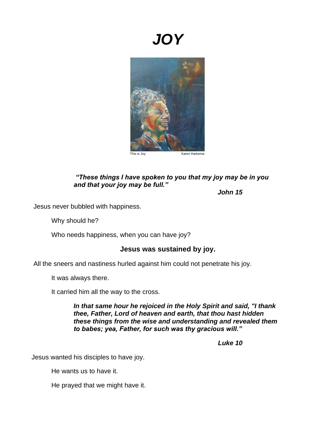# *JOY*



## *"These things I have spoken to you that my joy may be in you and that your joy may be full."*

*John 15*

Jesus never bubbled with happiness.

Why should he?

Who needs happiness, when you can have joy?

#### **Jesus was sustained by joy.**

All the sneers and nastiness hurled against him could not penetrate his joy.

It was always there.

It carried him all the way to the cross.

*In that same hour he rejoiced in the Holy Spirit and said, "I thank thee, Father, Lord of heaven and earth, that thou hast hidden these things from the wise and understanding and revealed them to babes; yea, Father, for such was thy gracious will."*

 *Luke 10*

Jesus wanted his disciples to have joy.

He wants us to have it.

He prayed that we might have it.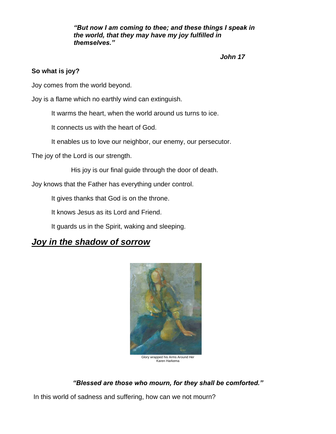*"But now I am coming to thee; and these things I speak in the world, that they may have my joy fulfilled in themselves."*

 *John 17*

### **So what is joy?**

Joy comes from the world beyond.

Joy is a flame which no earthly wind can extinguish.

It warms the heart, when the world around us turns to ice.

It connects us with the heart of God.

It enables us to love our neighbor, our enemy, our persecutor.

The joy of the Lord is our strength.

His joy is our final guide through the door of death.

Joy knows that the Father has everything under control.

It gives thanks that God is on the throne.

It knows Jesus as its Lord and Friend.

It guards us in the Spirit, waking and sleeping.

# *Joy in the shadow of sorrow*



Glory wrapped his Arms Around Her Karen Harkema

## *"Blessed are those who mourn, for they shall be comforted."*

In this world of sadness and suffering, how can we not mourn?